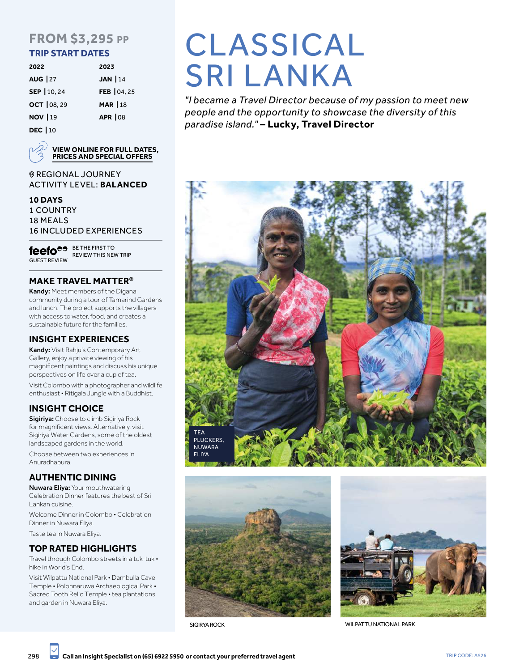# **FROM \$3,295 PP**

## **TRIP START DATES**

| 2022            | 2023            |
|-----------------|-----------------|
| <b>AUG</b>   27 | JAN $ 14$       |
| SEP   10, 24    | FEB 04, 25      |
| OCT   08, 29    | <b>MAR   18</b> |
| <b>NOV   19</b> | <b>APR 108</b>  |
| <b>DEC</b>   10 |                 |



**VIEW ONLINE FOR FULL DATES, PRICES AND SPECIAL OFFERS**

**@REGIONAL JOURNEY** ACTIVITY LEVEL: **BALANCED**

#### **10 DAYS**

1 COUNTRY 18 MEALS 16 INCLUDED EXPERIENCES

GUEST REVIEW **feefo<sup>es BETHE FIRST TO**</sup> REVIEW THIS NEW TRIP

# **MAKE TRAVEL MATTER®**

Kandy: Meet members of the Digana community during a tour of Tamarind Gardens and lunch. The project supports the villagers with access to water, food, and creates a sustainable future for the families.

# **INSIGHT EXPERIENCES**

Kandy: Visit Rahju's Contemporary Art Gallery, enjoy a private viewing of his magnificent paintings and discuss his unique perspectives on life over a cup of tea.

Visit Colombo with a photographer and wildlife enthusiast • Ritigala Jungle with a Buddhist.

# **INSIGHT CHOICE**

Sigiriya: Choose to climb Sigiriya Rock for magnificent views. Alternatively, visit Sigiriya Water Gardens, some of the oldest landscaped gardens in the world.

Choose between two experiences in Anuradhapura.

# **AUTHENTIC DINING**

Nuwara Eliya: Your mouthwatering Celebration Dinner features the best of Sri Lankan cuisine.

Welcome Dinner in Colombo • Celebration Dinner in Nuwara Eliya.

Taste tea in Nuwara Eliya.

#### **TOP RATED HIGHLIGHTS**

Travel through Colombo streets in a tuk-tuk • hike in World's End.

Visit Wilpattu National Park • Dambulla Cave Temple • Polonnaruwa Archaeological Park • Sacred Tooth Relic Temple • tea plantations and garden in Nuwara Eliya.

# CLASSICAL **SRI LANKA**

*"I became a Travel Director because of my passion to meet new people and the opportunity to showcase the diversity of this paradise island."* **– Lucky, Travel Director**







SIGIRYA ROCK WILPATTU NATIONAL PARK

298